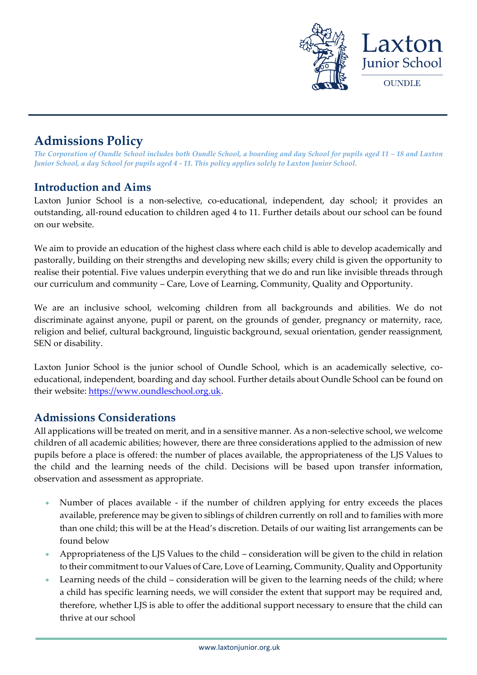

# **Admissions Policy**

*The Corporation of Oundle School includes both Oundle School, a boarding and day School for pupils aged 11 – 18 and Laxton Junior School, a day School for pupils aged 4 - 11. This policy applies solely to Laxton Junior School.*

### **Introduction and Aims**

Laxton Junior School is a non-selective, co-educational, independent, day school; it provides an outstanding, all-round education to children aged 4 to 11. Further details about our school can be found on our website.

We aim to provide an education of the highest class where each child is able to develop academically and pastorally, building on their strengths and developing new skills; every child is given the opportunity to realise their potential. Five values underpin everything that we do and run like invisible threads through our curriculum and community – Care, Love of Learning, Community, Quality and Opportunity.

We are an inclusive school, welcoming children from all backgrounds and abilities. We do not discriminate against anyone, pupil or parent, on the grounds of gender, pregnancy or maternity, race, religion and belief, cultural background, linguistic background, sexual orientation, gender reassignment, SEN or disability.

Laxton Junior School is the junior school of Oundle School, which is an academically selective, coeducational, independent, boarding and day school. Further details about Oundle School can be found on their website: [https://www.oundleschool.org.uk.](https://www.oundleschool.org.uk/)

### **Admissions Considerations**

All applications will be treated on merit, and in a sensitive manner. As a non-selective school, we welcome children of all academic abilities; however, there are three considerations applied to the admission of new pupils before a place is offered: the number of places available, the appropriateness of the LJS Values to the child and the learning needs of the child. Decisions will be based upon transfer information, observation and assessment as appropriate.

- Number of places available if the number of children applying for entry exceeds the places available, preference may be given to siblings of children currently on roll and to families with more than one child; this will be at the Head's discretion. Details of our waiting list arrangements can be found below
- Appropriateness of the LJS Values to the child consideration will be given to the child in relation to their commitment to our Values of Care, Love of Learning, Community, Quality and Opportunity
- Learning needs of the child consideration will be given to the learning needs of the child; where a child has specific learning needs, we will consider the extent that support may be required and, therefore, whether LJS is able to offer the additional support necessary to ensure that the child can thrive at our school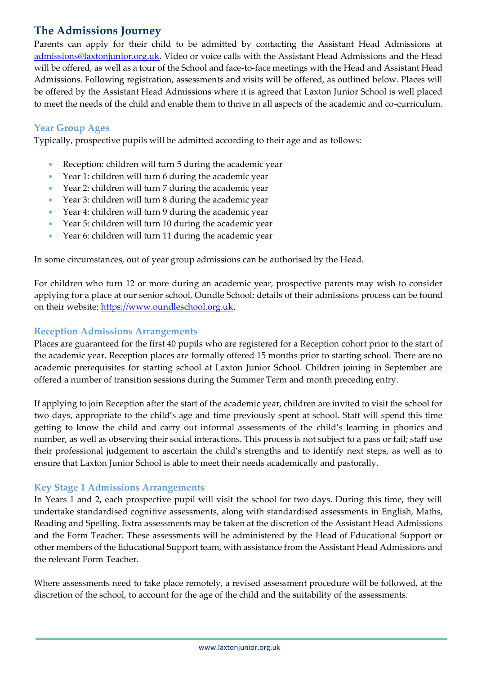## **The Admissions Journey**

Parents can apply for their child to be admitted by contacting the Assistant Head Admissions at [admissions@laxtonjunior.org.uk.](mailto:admissions@laxtonjunior.org.uk) Video or voice calls with the Assistant Head Admissions and the Head will be offered, as well as a tour of the School and face-to-face meetings with the Head and Assistant Head Admissions. Following registration, assessments and visits will be offered, as outlined below. Places will be offered by the Assistant Head Admissions where it is agreed that Laxton Junior School is well placed to meet the needs of the child and enable them to thrive in all aspects of the academic and co-curriculum.

#### **Year Group Ages**

Typically, prospective pupils will be admitted according to their age and as follows:

- Reception: children will turn 5 during the academic year
- Year 1: children will turn 6 during the academic year
- Year 2: children will turn 7 during the academic year
- Year 3: children will turn 8 during the academic year
- Year 4: children will turn 9 during the academic year
- Year 5: children will turn 10 during the academic year
- Year 6: children will turn 11 during the academic year

In some circumstances, out of year group admissions can be authorised by the Head.

For children who turn 12 or more during an academic year, prospective parents may wish to consider applying for a place at our senior school, Oundle School; details of their admissions process can be found on their website: [https://www.oundleschool.org.uk.](https://www.oundleschool.org.uk/)

#### **Reception Admissions Arrangements**

Places are guaranteed for the first 40 pupils who are registered for a Reception cohort prior to the start of the academic year. Reception places are formally offered 15 months prior to starting school. There are no academic prerequisites for starting school at Laxton Junior School. Children joining in September are offered a number of transition sessions during the Summer Term and month preceding entry.

If applying to join Reception after the start of the academic year, children are invited to visit the school for two days, appropriate to the child's age and time previously spent at school. Staff will spend this time getting to know the child and carry out informal assessments of the child's learning in phonics and number, as well as observing their social interactions. This process is not subject to a pass or fail; staff use their professional judgement to ascertain the child's strengths and to identify next steps, as well as to ensure that Laxton Junior School is able to meet their needs academically and pastorally.

#### **Key Stage 1 Admissions Arrangements**

In Years 1 and 2, each prospective pupil will visit the school for two days. During this time, they will undertake standardised cognitive assessments, along with standardised assessments in English, Maths, Reading and Spelling. Extra assessments may be taken at the discretion of the Assistant Head Admissions and the Form Teacher. These assessments will be administered by the Head of Educational Support or other members of the Educational Support team, with assistance from the Assistant Head Admissions and the relevant Form Teacher.

Where assessments need to take place remotely, a revised assessment procedure will be followed, at the discretion of the school, to account for the age of the child and the suitability of the assessments.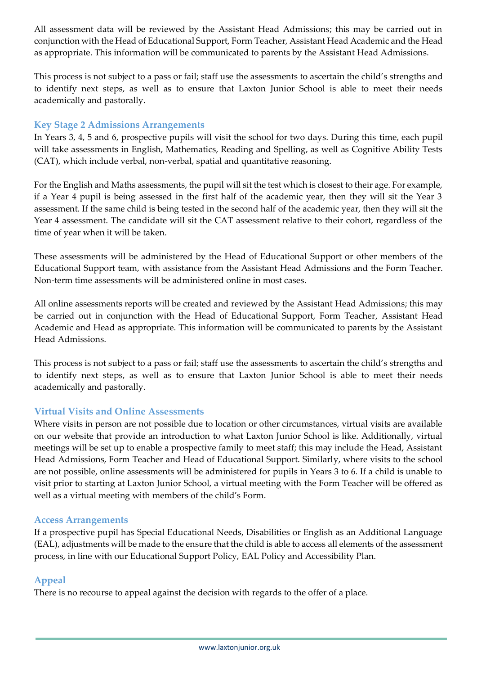All assessment data will be reviewed by the Assistant Head Admissions; this may be carried out in conjunction with the Head of Educational Support, Form Teacher, Assistant Head Academic and the Head as appropriate. This information will be communicated to parents by the Assistant Head Admissions.

This process is not subject to a pass or fail; staff use the assessments to ascertain the child's strengths and to identify next steps, as well as to ensure that Laxton Junior School is able to meet their needs academically and pastorally.

#### **Key Stage 2 Admissions Arrangements**

In Years 3, 4, 5 and 6, prospective pupils will visit the school for two days. During this time, each pupil will take assessments in English, Mathematics, Reading and Spelling, as well as Cognitive Ability Tests (CAT), which include verbal, non-verbal, spatial and quantitative reasoning.

For the English and Maths assessments, the pupil will sit the test which is closest to their age. For example, if a Year 4 pupil is being assessed in the first half of the academic year, then they will sit the Year 3 assessment. If the same child is being tested in the second half of the academic year, then they will sit the Year 4 assessment. The candidate will sit the CAT assessment relative to their cohort, regardless of the time of year when it will be taken.

These assessments will be administered by the Head of Educational Support or other members of the Educational Support team, with assistance from the Assistant Head Admissions and the Form Teacher. Non-term time assessments will be administered online in most cases.

All online assessments reports will be created and reviewed by the Assistant Head Admissions; this may be carried out in conjunction with the Head of Educational Support, Form Teacher, Assistant Head Academic and Head as appropriate. This information will be communicated to parents by the Assistant Head Admissions.

This process is not subject to a pass or fail; staff use the assessments to ascertain the child's strengths and to identify next steps, as well as to ensure that Laxton Junior School is able to meet their needs academically and pastorally.

#### **Virtual Visits and Online Assessments**

Where visits in person are not possible due to location or other circumstances, virtual visits are available on our website that provide an introduction to what Laxton Junior School is like. Additionally, virtual meetings will be set up to enable a prospective family to meet staff; this may include the Head, Assistant Head Admissions, Form Teacher and Head of Educational Support. Similarly, where visits to the school are not possible, online assessments will be administered for pupils in Years 3 to 6. If a child is unable to visit prior to starting at Laxton Junior School, a virtual meeting with the Form Teacher will be offered as well as a virtual meeting with members of the child's Form.

#### **Access Arrangements**

If a prospective pupil has Special Educational Needs, Disabilities or English as an Additional Language (EAL), adjustments will be made to the ensure that the child is able to access all elements of the assessment process, in line with our Educational Support Policy, EAL Policy and Accessibility Plan.

#### **Appeal**

There is no recourse to appeal against the decision with regards to the offer of a place.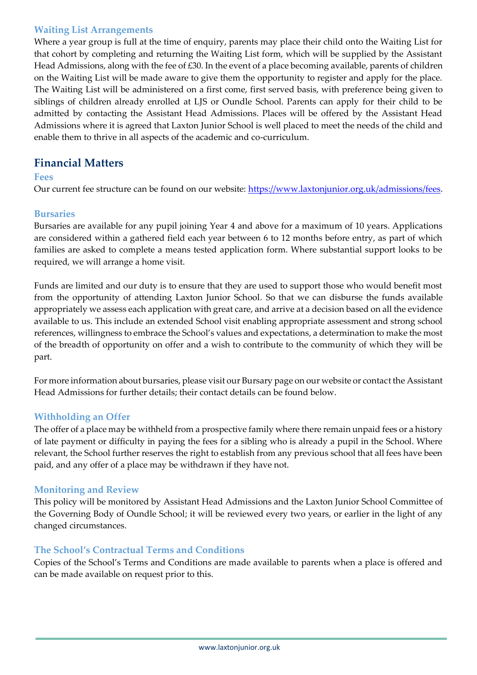#### **Waiting List Arrangements**

Where a year group is full at the time of enquiry, parents may place their child onto the Waiting List for that cohort by completing and returning the Waiting List form, which will be supplied by the Assistant Head Admissions, along with the fee of £30. In the event of a place becoming available, parents of children on the Waiting List will be made aware to give them the opportunity to register and apply for the place. The Waiting List will be administered on a first come, first served basis, with preference being given to siblings of children already enrolled at LJS or Oundle School. Parents can apply for their child to be admitted by contacting the Assistant Head Admissions. Places will be offered by the Assistant Head Admissions where it is agreed that Laxton Junior School is well placed to meet the needs of the child and enable them to thrive in all aspects of the academic and co-curriculum.

### **Financial Matters**

#### **Fees**

Our current fee structure can be found on our website: [https://www.laxtonjunior.org.uk/admissions/fees.](https://www.laxtonjunior.org.uk/admissions/fees)

#### **Bursaries**

Bursaries are available for any pupil joining Year 4 and above for a maximum of 10 years. Applications are considered within a gathered field each year between 6 to 12 months before entry, as part of which families are asked to complete a means tested application form. Where substantial support looks to be required, we will arrange a home visit.

Funds are limited and our duty is to ensure that they are used to support those who would benefit most from the opportunity of attending Laxton Junior School. So that we can disburse the funds available appropriately we assess each application with great care, and arrive at a decision based on all the evidence available to us. This include an extended School visit enabling appropriate assessment and strong school references, willingness to embrace the School's values and expectations, a determination to make the most of the breadth of opportunity on offer and a wish to contribute to the community of which they will be part.

For more information about bursaries, please visit our Bursary page on our website or contact the Assistant Head Admissions for further details; their contact details can be found below.

#### **Withholding an Offer**

The offer of a place may be withheld from a prospective family where there remain unpaid fees or a history of late payment or difficulty in paying the fees for a sibling who is already a pupil in the School. Where relevant, the School further reserves the right to establish from any previous school that all fees have been paid, and any offer of a place may be withdrawn if they have not.

#### **Monitoring and Review**

This policy will be monitored by Assistant Head Admissions and the Laxton Junior School Committee of the Governing Body of Oundle School; it will be reviewed every two years, or earlier in the light of any changed circumstances.

#### **The School's Contractual Terms and Conditions**

Copies of the School's Terms and Conditions are made available to parents when a place is offered and can be made available on request prior to this.